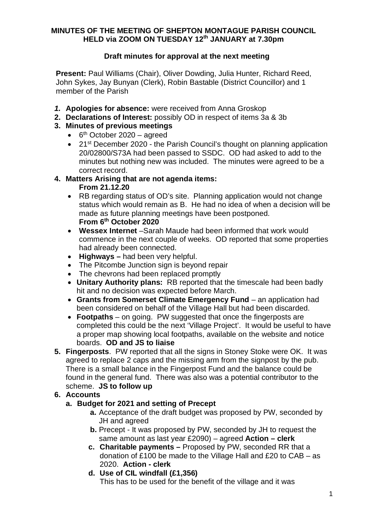#### **MINUTES OF THE MEETING OF SHEPTON MONTAGUE PARISH COUNCIL HELD via ZOOM ON TUESDAY 12th JANUARY at 7.30pm**

# **Draft minutes for approval at the next meeting**

**Present:** Paul Williams (Chair), Oliver Dowding, Julia Hunter, Richard Reed, John Sykes, Jay Bunyan (Clerk), Robin Bastable (District Councillor) and 1 member of the Parish

- *1.* **Apologies for absence:** were received from Anna Groskop
- **2. Declarations of Interest:** possibly OD in respect of items 3a & 3b
- **3. Minutes of previous meetings**
	- $\cdot$  6<sup>th</sup> October 2020 agreed
	- 21<sup>st</sup> December 2020 the Parish Council's thought on planning application 20/02800/S73A had been passed to SSDC. OD had asked to add to the minutes but nothing new was included. The minutes were agreed to be a correct record.

# **4. Matters Arising that are not agenda items:**

#### **From 21.12.20**

- · RB regarding status of OD's site. Planning application would not change status which would remain as B. He had no idea of when a decision will be made as future planning meetings have been postponed. **From 6th October 2020**
- · **Wessex Internet** –Sarah Maude had been informed that work would commence in the next couple of weeks. OD reported that some properties had already been connected.
- · **Highways –** had been very helpful.
- The Pitcombe Junction sign is beyond repair
- · The chevrons had been replaced promptly
- · **Unitary Authority plans:** RB reported that the timescale had been badly hit and no decision was expected before March.
- · **Grants from Somerset Climate Emergency Fund** an application had been considered on behalf of the Village Hall but had been discarded.
- · **Footpaths** on going. PW suggested that once the fingerposts are completed this could be the next 'Village Project'. It would be useful to have a proper map showing local footpaths, available on the website and notice boards. **OD and JS to liaise**
- **5. Fingerposts**. PW reported that all the signs in Stoney Stoke were OK. It was agreed to replace 2 caps and the missing arm from the signpost by the pub. There is a small balance in the Fingerpost Fund and the balance could be found in the general fund. There was also was a potential contributor to the scheme. **JS to follow up**

## **6. Accounts**

## **a. Budget for 2021 and setting of Precept**

- **a.** Acceptance of the draft budget was proposed by PW, seconded by JH and agreed
- **b.** Precept It was proposed by PW, seconded by JH to request the same amount as last year £2090) – agreed **Action – clerk**
- **c. Charitable payments –** Proposed by PW, seconded RR that a donation of £100 be made to the Village Hall and £20 to CAB – as 2020. **Action - clerk**
- **d. Use of CIL windfall (£1,356)** This has to be used for the benefit of the village and it was